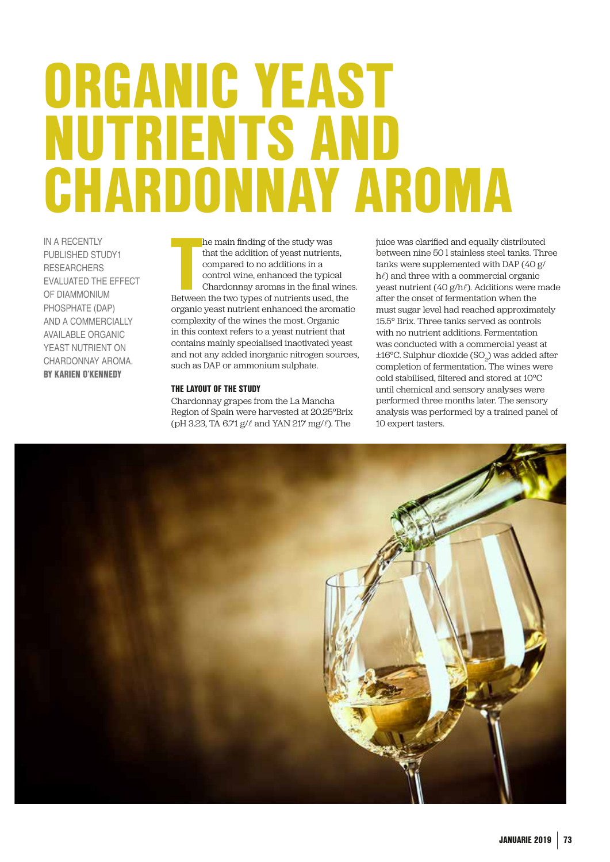# ORGANIC YEAST NUTRIENTS AND CHARDONNAY AROMA

IN A RECENTLY PUBLISHED STUDY1 **RESEARCHERS** EVALUATED THE EFFECT OF DIAMMONIUM PHOSPHATE (DAP) AND A COMMERCIALLY AVAILABLE ORGANIC YEAST NUTRIENT ON CHARDONNAY AROMA. BY KARIEN O'KENNEDY

he main finding of the study was<br>that the addition of yeast nutrients,<br>compared to no additions in a<br>control wine, enhanced the typical<br>chardonnay aromas in the final wine<br>Between the two types of nutrients used, the he main finding of the study was that the addition of yeast nutrients, compared to no additions in a control wine, enhanced the typical Chardonnay aromas in the final wines. organic yeast nutrient enhanced the aromatic complexity of the wines the most. Organic in this context refers to a yeast nutrient that contains mainly specialised inactivated yeast and not any added inorganic nitrogen sources, such as DAP or ammonium sulphate.

# THE LAYOUT OF THE STUDY

Chardonnay grapes from the La Mancha Region of Spain were harvested at 20.25°Brix (pH 3.23, TA 6.71 g/ℓ and YAN 217 mg/ℓ). The

juice was clarified and equally distributed between nine 50 l stainless steel tanks. Three tanks were supplemented with DAP (40 g/ h() and three with a commercial organic yeast nutrient (40 g/hℓ). Additions were made after the onset of fermentation when the must sugar level had reached approximately 15.5° Brix. Three tanks served as controls with no nutrient additions. Fermentation was conducted with a commercial yeast at  $\pm 16^{\circ}$ C. Sulphur dioxide (SO<sub>2</sub>) was added after completion of fermentation. The wines were cold stabilised, filtered and stored at 10°C until chemical and sensory analyses were performed three months later. The sensory analysis was performed by a trained panel of 10 expert tasters.

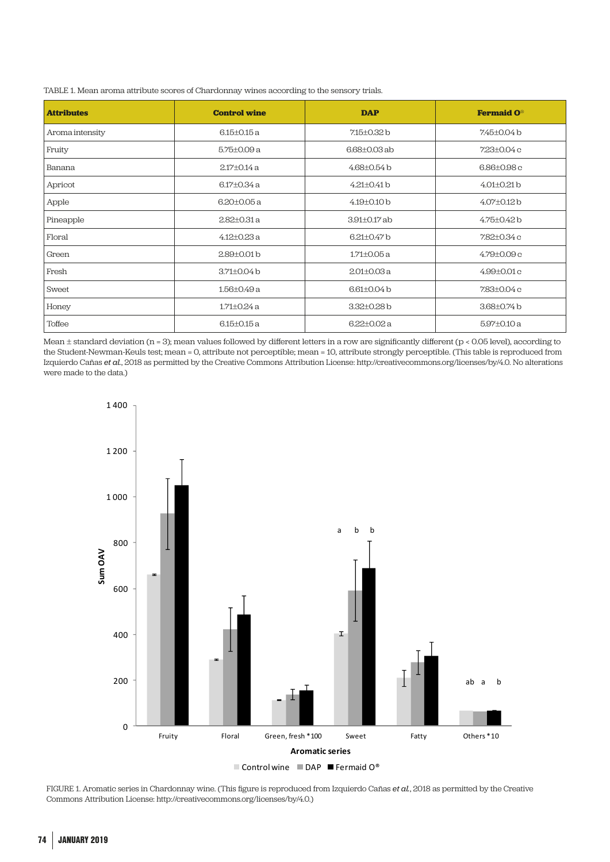| <b>Attributes</b> | <b>Control wine</b> | <b>DAP</b>         | <b>Fermaid O</b> ® |
|-------------------|---------------------|--------------------|--------------------|
| Aroma intensity   | $6.15 \pm 0.15$ a   | $7.15 + 0.32$ b    | 7.45±0.04b         |
| Fruity            | $5.75 \pm 0.09$ a   | $6.68 + 0.03$ ab   | 723±0.04c          |
| Banana            | $2.17 \pm 0.14$ a   | $4.68 \pm 0.54$ b  | $6.86{\pm}0.98c$   |
| Apricot           | $6.17 \pm 0.34$ a   | $4.21 \pm 0.41$ b  | $4.01 \pm 0.21$ b  |
| Apple             | $6.20 \pm 0.05$ a   | $4.19 \pm 0.10$ b  | $4.07 \pm 0.12$ b  |
| Pineapple         | $2.82 \pm 0.31$ a   | $3.91 \pm 0.17$ ab | 4.75±0.42 b        |
| Floral            | $4.12{\pm}0.23a$    | $6.21 \pm 0.47$ b  | 7.82±0.34 c        |
| Green             | 2.89±0.01b          | $1.71 \pm 0.05$ a  | $4.79 \pm 0.09$ c  |
| Fresh             | $3.71 \pm 0.04$ b   | $2.01 \pm 0.03$ a  | $4.99 \pm 0.01 c$  |
| Sweet             | 1.56±0.49 a         | $6.61 \pm 0.04$ b  | 7.83±0.04 c        |
| Honey             | $1.71 + 0.24a$      | 3.32±0.28b         | 3.68±0.74 b        |
| Toffee            | $6.15 \pm 0.15$ a   | $6.22 + 0.02a$     | $5.97 \pm 0.10$ a  |

TABLE 1. Mean aroma attribute scores of Chardonnay wines according to the sensory trials.

Mean ± standard deviation (n = 3); mean values followed by different letters in a row are significantly different (p < 0.05 level), according to were graphed in Figure 1. This procedure makes it sweet. the Student-Newman-Keuls test; mean = 0, attribute not perceptible; mean = 10, attribute strongly perceptible. (This table is reproduced from Izquierdo Cañas *et al.*, 2018 as permitted by the Creative Commons Attribution License: http://creativecommons.org/licenses/by/4.0. No alterations were made to the data.)



FIGURE 1. Aromatic series in Chardonnay wine. (This figure is reproduced from Izquierdo Cañas *et al.*, 2018 as permitted by the Creative Commons Attribution License: http://creativecommons.org/licenses/by/4.0.)